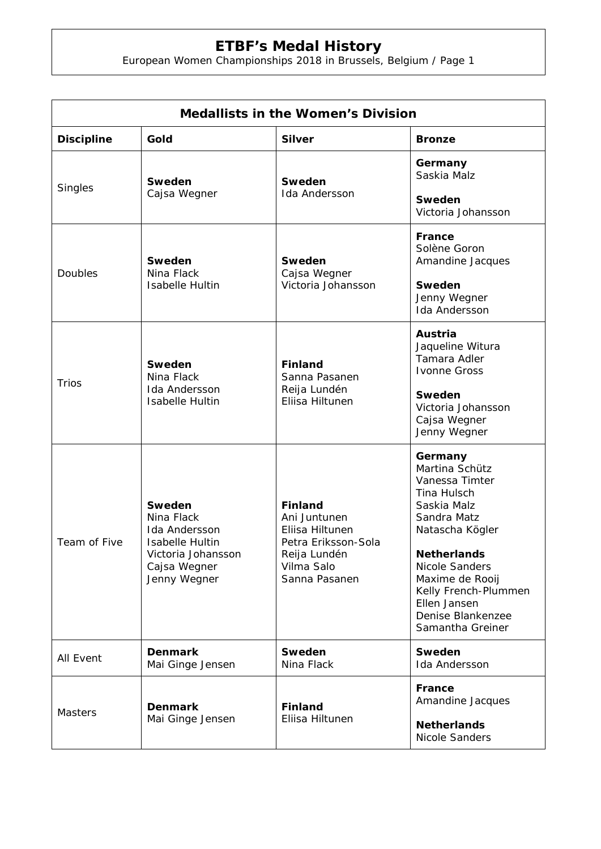## **ETBF's Medal History**

European Women Championships 2018 in Brussels, Belgium / Page 1

| <b>Medallists in the Women's Division</b> |                                                                                                                              |                                                                                                                         |                                                                                                                                                                                                                                                                |  |  |
|-------------------------------------------|------------------------------------------------------------------------------------------------------------------------------|-------------------------------------------------------------------------------------------------------------------------|----------------------------------------------------------------------------------------------------------------------------------------------------------------------------------------------------------------------------------------------------------------|--|--|
| <b>Discipline</b>                         | Gold                                                                                                                         | <b>Silver</b>                                                                                                           | <b>Bronze</b>                                                                                                                                                                                                                                                  |  |  |
| Singles                                   | Sweden<br>Cajsa Wegner                                                                                                       | Sweden<br><b>Ida Andersson</b>                                                                                          | Germany<br>Saskia Malz<br>Sweden<br>Victoria Johansson                                                                                                                                                                                                         |  |  |
| Doubles                                   | Sweden<br>Nina Flack<br><b>Isabelle Hultin</b>                                                                               | Sweden<br>Cajsa Wegner<br>Victoria Johansson                                                                            | France<br>Solène Goron<br>Amandine Jacques<br>Sweden<br>Jenny Wegner<br>Ida Andersson                                                                                                                                                                          |  |  |
| <b>Trios</b>                              | Sweden<br>Nina Flack<br><b>Ida Andersson</b><br><b>Isabelle Hultin</b>                                                       | <b>Finland</b><br>Sanna Pasanen<br>Reija Lundén<br>Eliisa Hiltunen                                                      | Austria<br>Jaqueline Witura<br>Tamara Adler<br><b>Ivonne Gross</b><br>Sweden<br>Victoria Johansson<br>Cajsa Wegner<br>Jenny Wegner                                                                                                                             |  |  |
| Team of Five                              | Sweden<br>Nina Flack<br><b>Ida Andersson</b><br><b>Isabelle Hultin</b><br>Victoria Johansson<br>Cajsa Wegner<br>Jenny Wegner | <b>Finland</b><br>Ani Juntunen<br>Eliisa Hiltunen<br>Petra Eriksson-Sola<br>Reija Lundén<br>Vilma Salo<br>Sanna Pasanen | Germany<br>Martina Schütz<br>Vanessa Timter<br>Tina Hulsch<br>Saskia Malz<br>Sandra Matz<br>Natascha Kögler<br><b>Netherlands</b><br><b>Nicole Sanders</b><br>Maxime de Rooij<br>Kelly French-Plummen<br>Ellen Jansen<br>Denise Blankenzee<br>Samantha Greiner |  |  |
| All Event                                 | <b>Denmark</b><br>Mai Ginge Jensen                                                                                           | <b>Sweden</b><br>Nina Flack                                                                                             | Sweden<br><b>Ida Andersson</b>                                                                                                                                                                                                                                 |  |  |
| <b>Masters</b>                            | <b>Denmark</b><br>Mai Ginge Jensen                                                                                           | <b>Finland</b><br>Eliisa Hiltunen                                                                                       | France<br>Amandine Jacques<br><b>Netherlands</b><br><b>Nicole Sanders</b>                                                                                                                                                                                      |  |  |